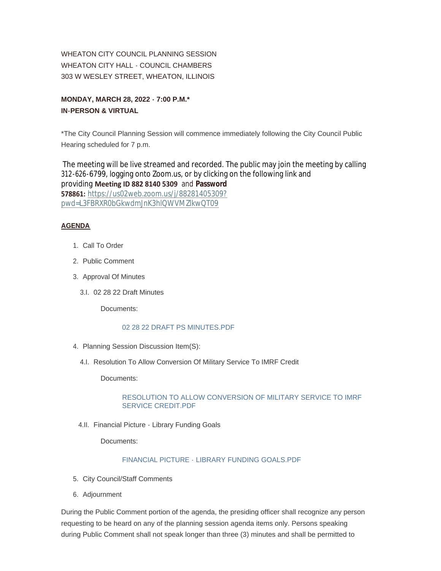WHEATON CITY COUNCIL PLANNING SESSION WHEATON CITY HALL - COUNCIL CHAMBERS 303 W WESLEY STREET, WHEATON, ILLINOIS

**MONDAY, MARCH 28, 2022 - 7:00 P.M.\* IN-PERSON & VIRTUAL**

\*The City Council Planning Session will commence immediately following the City Council Public Hearing scheduled for 7 p.m.

The meeting will be live streamed and recorded. The public may join the meeting by calling 312-626-6799, logging onto Zoom.us, or by clicking on the following link and providing **Meeting ID 882 8140 5309** and **Password 578861:** [https://us02web.zoom.us/j/88281405309?](https://us02web.zoom.us/j/88281405309?pwd=L3FBRXR0bGkwdmJnK3hlQWVMZlkwQT09) pwd=L3FBRXR0bGkwdmJnK3hlQWVMZlkwQT09

## **AGENDA**

- 1. Call To Order
- 2. Public Comment
- 3. Approval Of Minutes
	- 02 28 22 Draft Minutes 3.I.

Documents:

## [02 28 22 DRAFT PS MINUTES.PDF](https://www.wheaton.il.us/AgendaCenter/ViewFile/Item/8665?fileID=11138)

- 4. Planning Session Discussion Item(S):
	- 4.I. Resolution To Allow Conversion Of Military Service To IMRF Credit

Documents:

## [RESOLUTION TO ALLOW CONVERSION OF MILITARY SERVICE TO IMRF](https://www.wheaton.il.us/AgendaCenter/ViewFile/Item/8667?fileID=11139)  SERVICE CREDIT.PDF

4.II. Financial Picture - Library Funding Goals

Documents:

## [FINANCIAL PICTURE - LIBRARY FUNDING GOALS.PDF](https://www.wheaton.il.us/AgendaCenter/ViewFile/Item/8668?fileID=11140)

- 5. City Council/Staff Comments
- Adjournment 6.

During the Public Comment portion of the agenda, the presiding officer shall recognize any person requesting to be heard on any of the planning session agenda items only. Persons speaking during Public Comment shall not speak longer than three (3) minutes and shall be permitted to